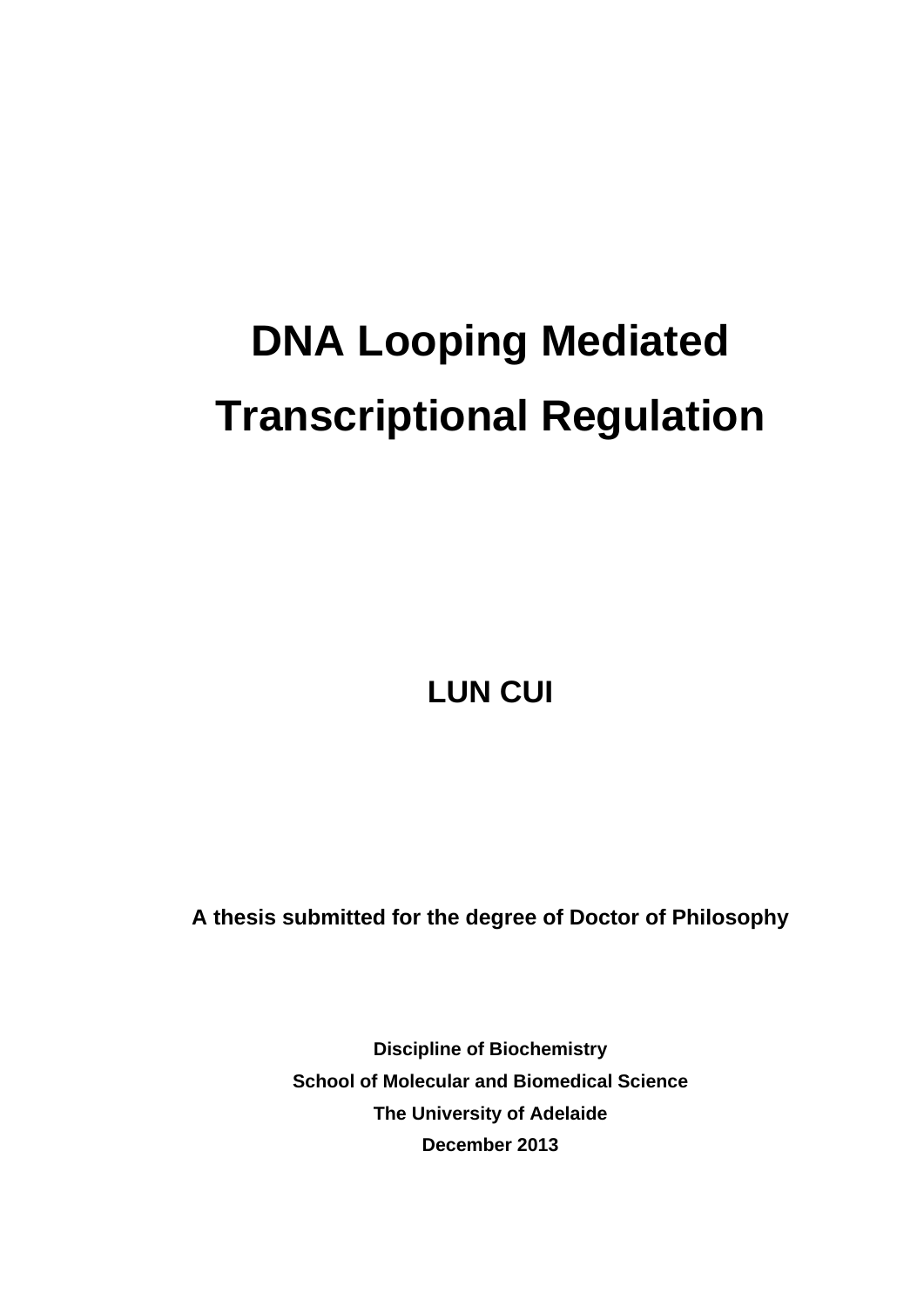# **DNA Looping Mediated Transcriptional Regulation**

**LUN CUI** 

**A thesis submitted for the degree of Doctor of Philosophy** 

**Discipline of Biochemistry School of Molecular and Biomedical Science The University of Adelaide December 2013**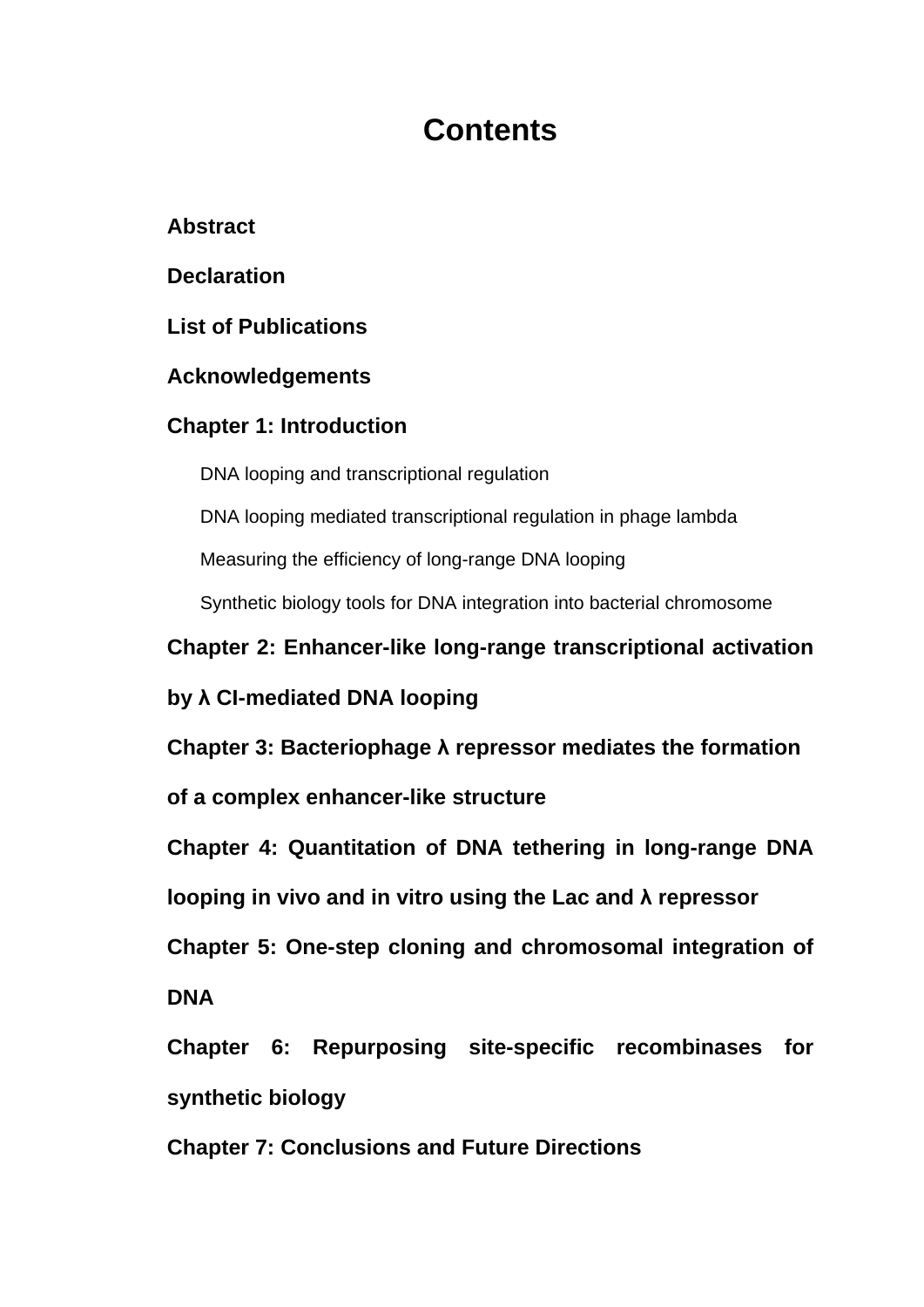## **Contents**

### **Abstract**

#### **Declaration**

#### **List of Publications**

#### **Acknowledgements**

### **Chapter 1: Introduction**

DNA looping and transcriptional regulation

DNA looping mediated transcriptional regulation in phage lambda

Measuring the efficiency of long-range DNA looping

Synthetic biology tools for DNA integration into bacterial chromosome

**Chapter 2: Enhancer-like long-range transcriptional activation** 

### **by λ CI-mediated DNA looping**

**Chapter 3: Bacteriophage λ repressor mediates the formation** 

**of a complex enhancer-like structure**

**Chapter 4: Quantitation of DNA tethering in long-range DNA** 

**looping in vivo and in vitro using the Lac and λ repressor** 

**Chapter 5: One-step cloning and chromosomal integration of DNA** 

**Chapter 6: Repurposing site-specific recombinases for synthetic biology** 

**Chapter 7: Conclusions and Future Directions**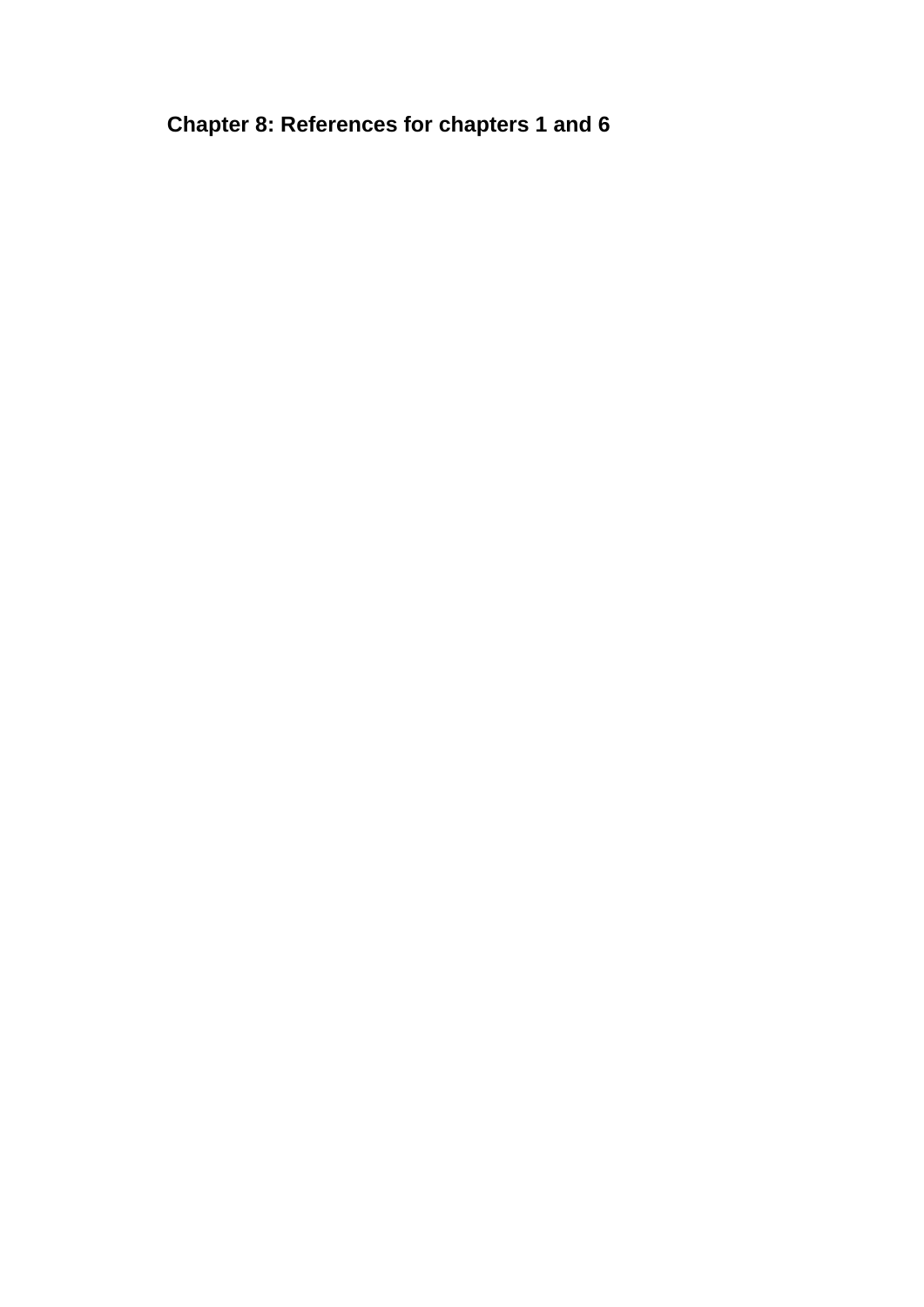**Chapter 8: References for chapters 1 and 6**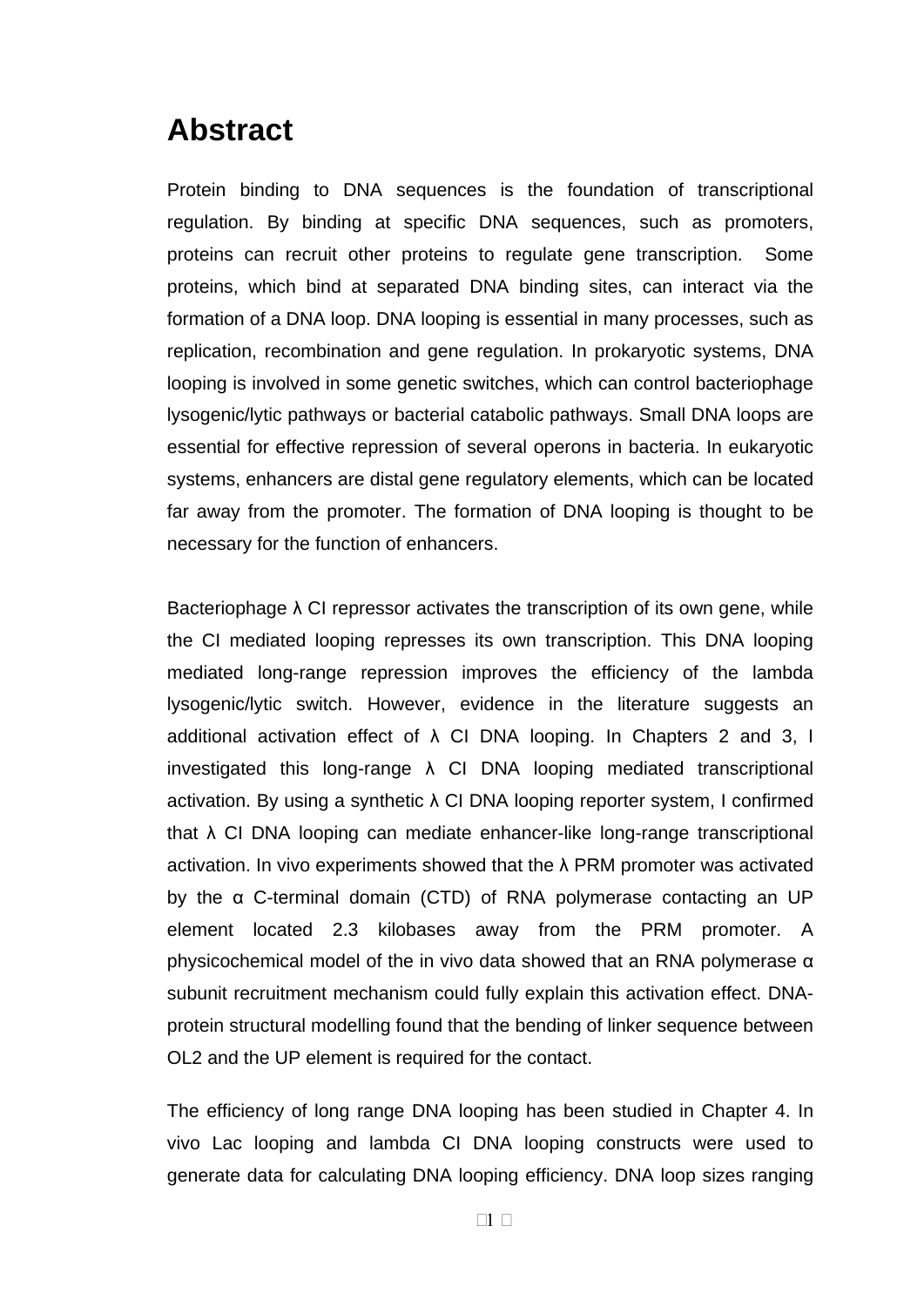### **Abstract**

Protein binding to DNA sequences is the foundation of transcriptional regulation. By binding at specific DNA sequences, such as promoters, proteins can recruit other proteins to regulate gene transcription. Some proteins, which bind at separated DNA binding sites, can interact via the formation of a DNA loop. DNA looping is essential in many processes, such as replication, recombination and gene regulation. In prokaryotic systems, DNA looping is involved in some genetic switches, which can control bacteriophage lysogenic/lytic pathways or bacterial catabolic pathways. Small DNA loops are essential for effective repression of several operons in bacteria. In eukaryotic systems, enhancers are distal gene regulatory elements, which can be located far away from the promoter. The formation of DNA looping is thought to be necessary for the function of enhancers.

Bacteriophage  $\lambda$  CI repressor activates the transcription of its own gene, while the CI mediated looping represses its own transcription. This DNA looping mediated long-range repression improves the efficiency of the lambda lysogenic/lytic switch. However, evidence in the literature suggests an additional activation effect of  $\lambda$  CI DNA looping. In Chapters 2 and 3, I investigated this long-range  $\lambda$  CI DNA looping mediated transcriptional activation. By using a synthetic  $\lambda$  CI DNA looping reporter system, I confirmed that  $\lambda$  CI DNA looping can mediate enhancer-like long-range transcriptional activation. In vivo experiments showed that the λ PRM promoter was activated by the α C-terminal domain (CTD) of RNA polymerase contacting an UP element located 2.3 kilobases away from the PRM promoter. A physicochemical model of the in vivo data showed that an RNA polymerase α subunit recruitment mechanism could fully explain this activation effect. DNAprotein structural modelling found that the bending of linker sequence between OL2 and the UP element is required for the contact.

The efficiency of long range DNA looping has been studied in Chapter 4. In vivo Lac looping and lambda CI DNA looping constructs were used to generate data for calculating DNA looping efficiency. DNA loop sizes ranging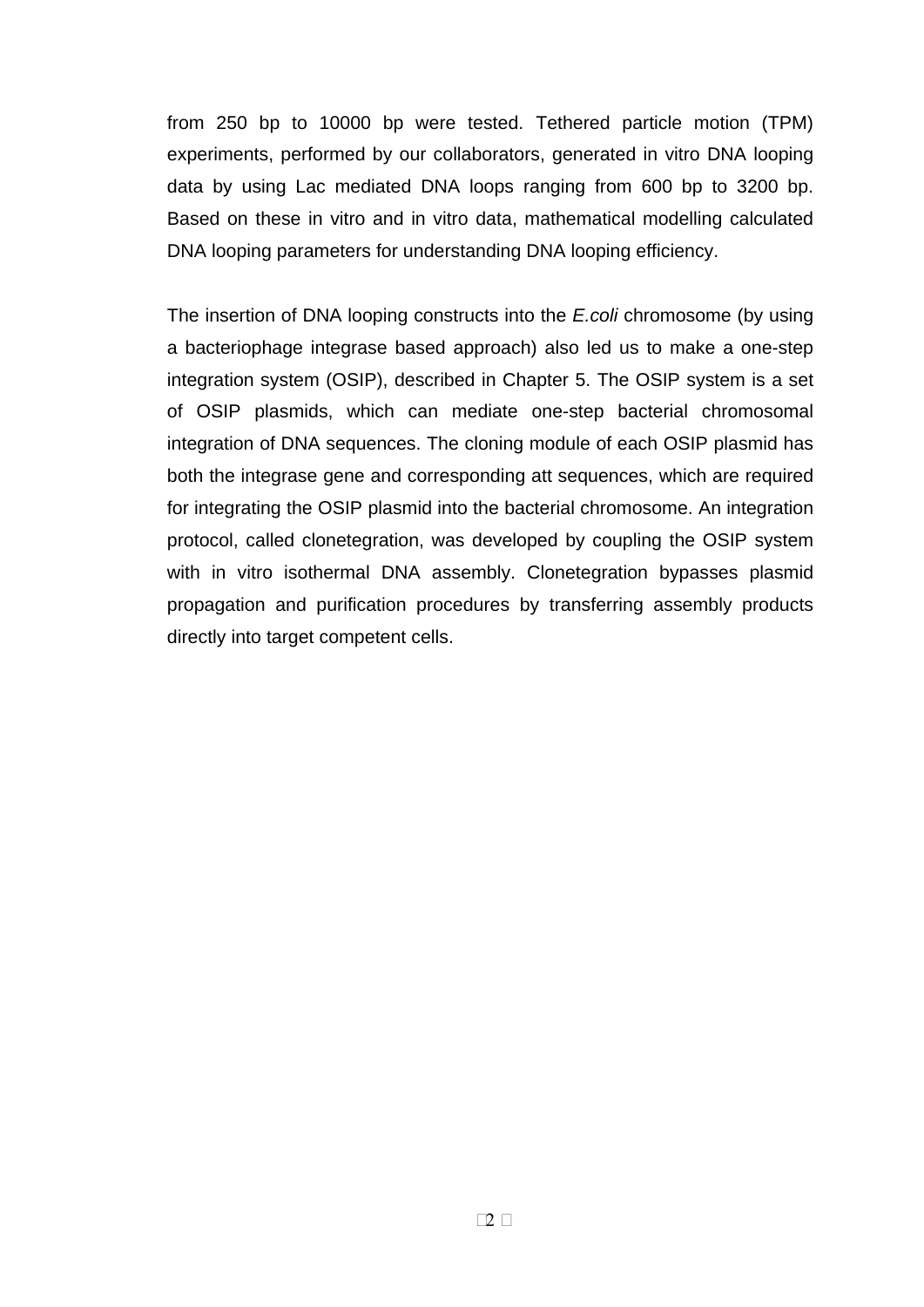from 250 bp to 10000 bp were tested. Tethered particle motion (TPM) experiments, performed by our collaborators, generated in vitro DNA looping data by using Lac mediated DNA loops ranging from 600 bp to 3200 bp. Based on these in vitro and in vitro data, mathematical modelling calculated DNA looping parameters for understanding DNA looping efficiency.

The insertion of DNA looping constructs into the *E.coli* chromosome (by using a bacteriophage integrase based approach) also led us to make a one-step integration system (OSIP), described in Chapter 5. The OSIP system is a set of OSIP plasmids, which can mediate one-step bacterial chromosomal integration of DNA sequences. The cloning module of each OSIP plasmid has both the integrase gene and corresponding att sequences, which are required for integrating the OSIP plasmid into the bacterial chromosome. An integration protocol, called clonetegration, was developed by coupling the OSIP system with in vitro isothermal DNA assembly. Clonetegration bypasses plasmid propagation and purification procedures by transferring assembly products directly into target competent cells.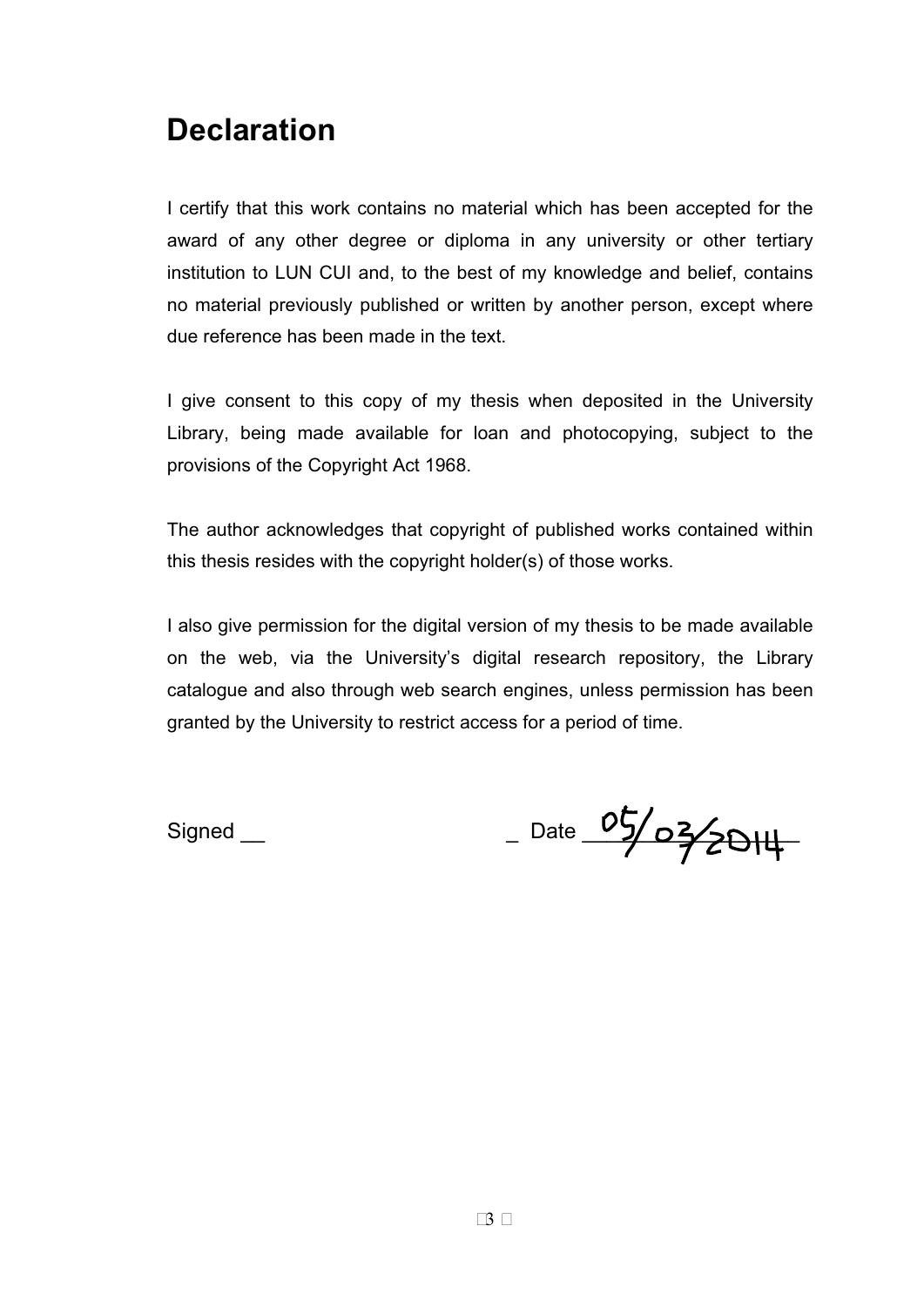### **Declaration**

I certify that this work contains no material which has been accepted for the award of any other degree or diploma in any university or other tertiary institution to LUN CUI and, to the best of my knowledge and belief, contains no material previously published or written by another person, except where due reference has been made in the text.

I give consent to this copy of my thesis when deposited in the University Library, being made available for loan and photocopying, subject to the provisions of the Copyright Act 1968.

The author acknowledges that copyright of published works contained within this thesis resides with the copyright holder(s) of those works.

I also give permission for the digital version of my thesis to be made available on the web, via the University's digital research repository, the Library catalogue and also through web search engines, unless permission has been granted by the University to restrict access for a period of time.

Signed \_\_ \_ \_ \_ \_ \_ \_ \_ \_ \_ Date  $\frac{05}{22}$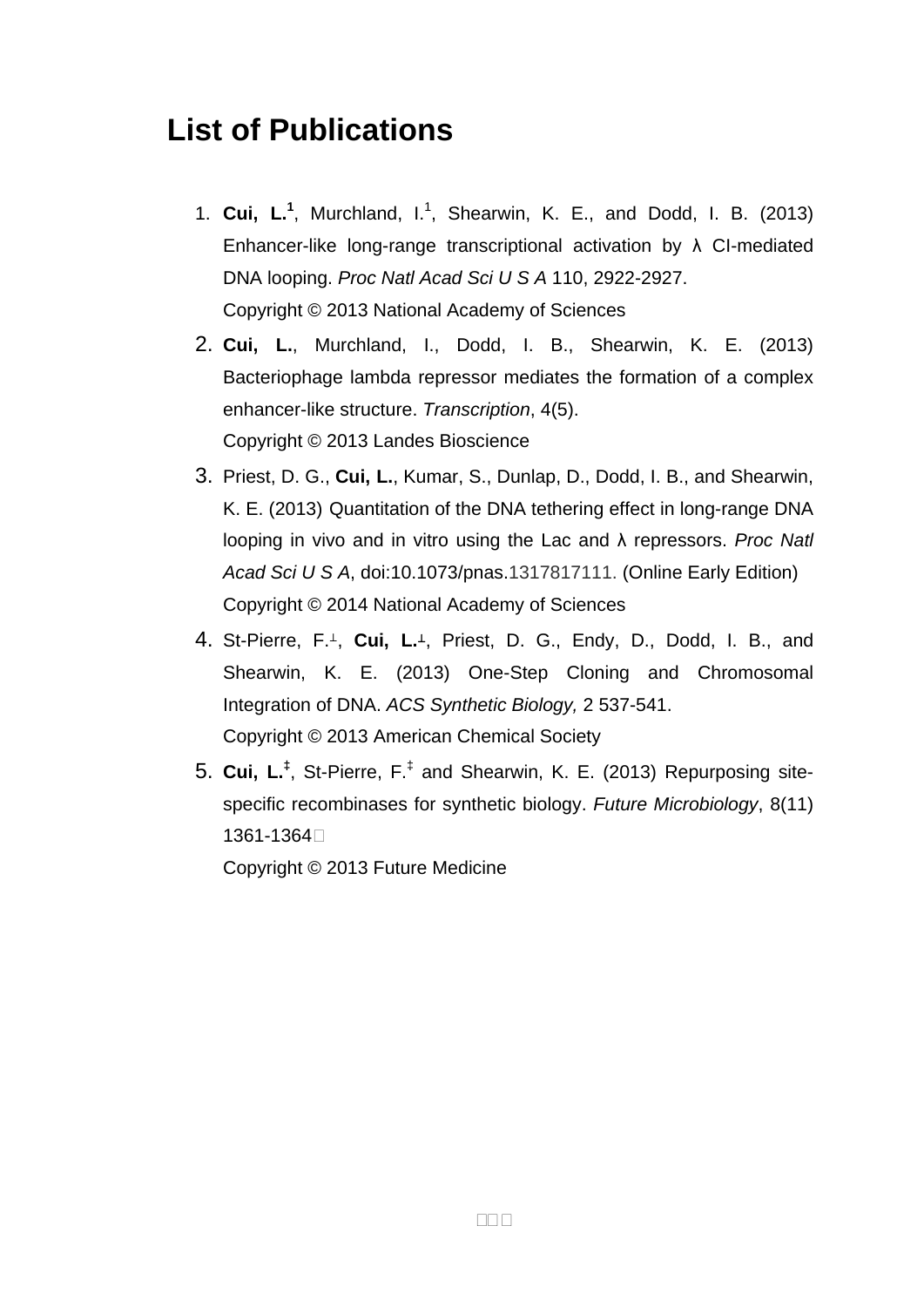### **List of Publications**

- 1. **Cui, L.<sup>1</sup>** , Murchland, I.1 , Shearwin, K. E., and Dodd, I. B. (2013) Enhancer-like long-range transcriptional activation by λ CI-mediated DNA looping. *Proc Natl Acad Sci U S A* 110, 2922-2927. Copyright © 2013 National Academy of Sciences
- 2. **Cui, L.**, Murchland, I., Dodd, I. B., Shearwin, K. E. (2013) Bacteriophage lambda repressor mediates the formation of a complex enhancer-like structure. *Transcription*, 4(5). Copyright © 2013 Landes Bioscience
- 3. Priest, D. G., **Cui, L.**, Kumar, S., Dunlap, D., Dodd, I. B., and Shearwin, K. E. (2013) Quantitation of the DNA tethering effect in long-range DNA looping in vivo and in vitro using the Lac and λ repressors. *Proc Natl Acad Sci U S A*, doi:10.1073/pnas.1317817111. (Online Early Edition) Copyright © 2014 National Academy of Sciences
- 4. St-Pierre, F.<sup>1</sup>, Cui, L.<sup>1</sup>, Priest, D. G., Endy, D., Dodd, I. B., and Shearwin, K. E. (2013) One-Step Cloning and Chromosomal Integration of DNA. *ACS Synthetic Biology,* 2 537-541. Copyright © 2013 American Chemical Society
- 5. **Cui, L.‡** , St-Pierre, F.‡ and Shearwin, K. E. (2013) Repurposing sitespecific recombinases for synthetic biology. *Future Microbiology*, 8(11) 1361-1364.

Copyright © 2013 Future Medicine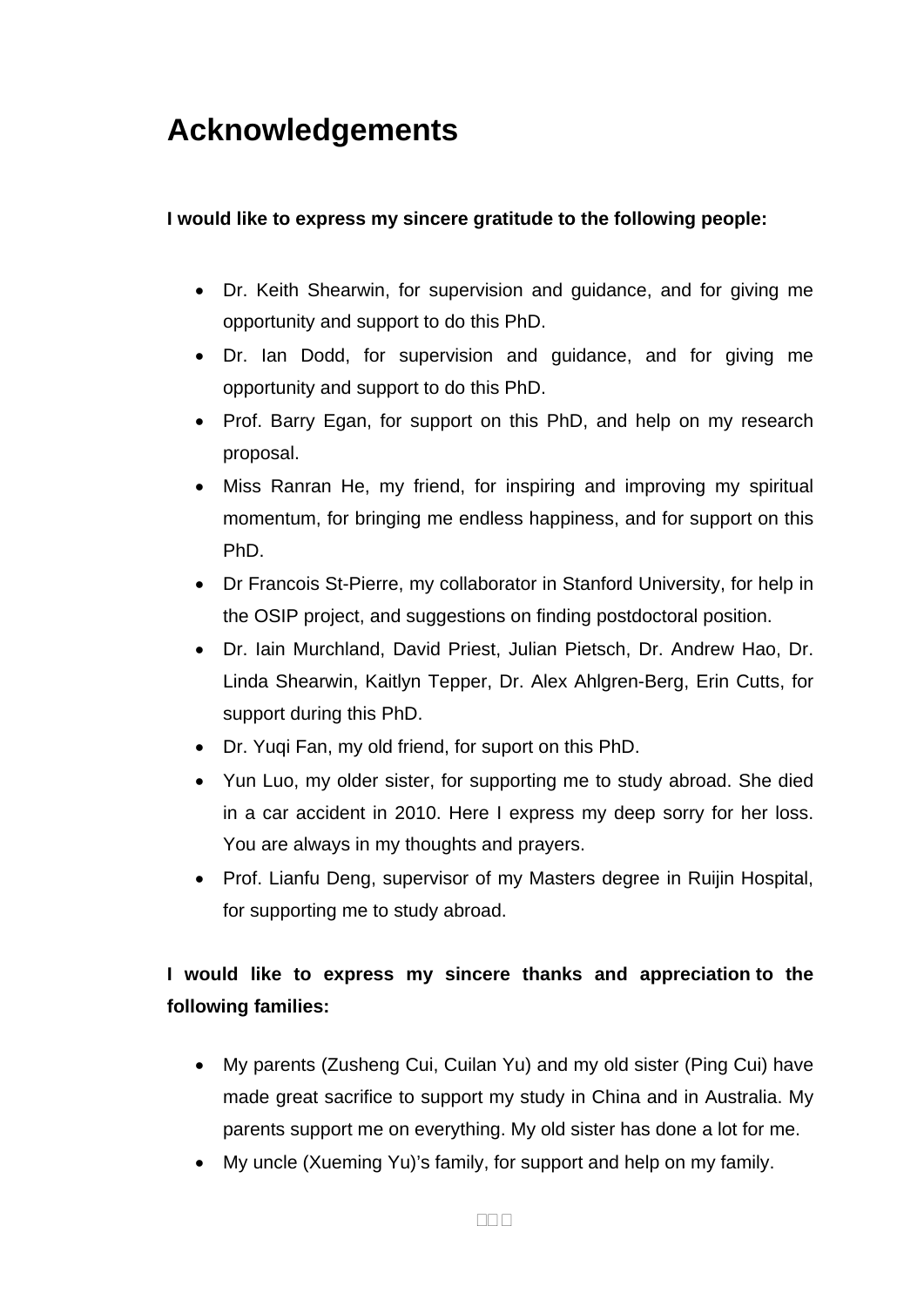# **Acknowledgements**

#### **I would like to express my sincere gratitude to the following people:**

- Dr. Keith Shearwin, for supervision and guidance, and for giving me opportunity and support to do this PhD.
- Dr. Ian Dodd, for supervision and guidance, and for giving me opportunity and support to do this PhD.
- Prof. Barry Egan, for support on this PhD, and help on my research proposal.
- Miss Ranran He, my friend, for inspiring and improving my spiritual momentum, for bringing me endless happiness, and for support on this PhD.
- Dr Francois St-Pierre, my collaborator in Stanford University, for help in the OSIP project, and suggestions on finding postdoctoral position.
- Dr. Iain Murchland, David Priest, Julian Pietsch, Dr. Andrew Hao, Dr. Linda Shearwin, Kaitlyn Tepper, Dr. Alex Ahlgren-Berg, Erin Cutts, for support during this PhD.
- Dr. Yuqi Fan, my old friend, for suport on this PhD.
- Yun Luo, my older sister, for supporting me to study abroad. She died in a car accident in 2010. Here I express my deep sorry for her loss. You are always in my thoughts and prayers.
- Prof. Lianfu Deng, supervisor of my Masters degree in Ruijin Hospital, for supporting me to study abroad.

### **I would like to express my sincere thanks and appreciation to the following families:**

- My parents (Zusheng Cui, Cuilan Yu) and my old sister (Ping Cui) have made great sacrifice to support my study in China and in Australia. My parents support me on everything. My old sister has done a lot for me.
- My uncle (Xueming Yu)'s family, for support and help on my family.